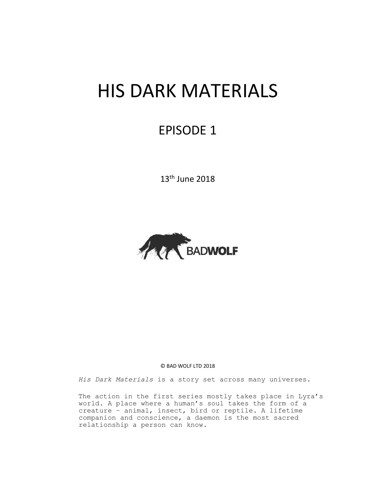# HIS DARK MATERIALS

# EPISODE 1

13th June 2018



#### © BAD WOLF LTD 2018

His Dark Materials is a story set across many universes.

The action in the first series mostly takes place in Lyra's world. A place where a human's soul takes the form of a creature – animal, insect, bird or reptile. A lifetime companion and conscience, a daemon is the most sacred relationship a person can know.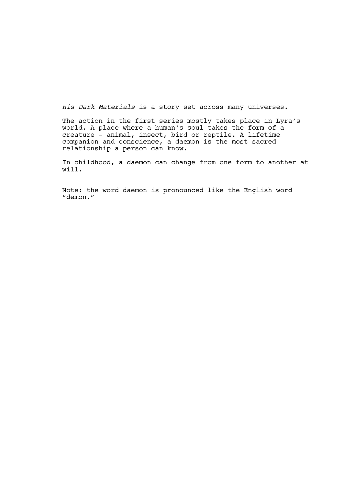*His Dark Materials* is a story set across many universes.

The action in the first series mostly takes place in Lyra's world. A place where a human's soul takes the form of a creature – animal, insect, bird or reptile. A lifetime companion and conscience, a daemon is the most sacred relationship a person can know.

In childhood, a daemon can change from one form to another at will.

Note: the word daemon is pronounced like the English word "demon."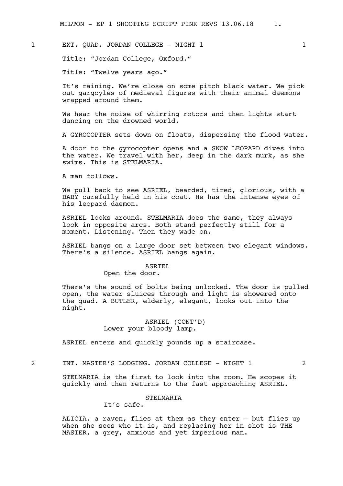# 1 EXT. QUAD. JORDAN COLLEGE - NIGHT 1 1 1 1 1

Title: "Jordan College, Oxford."

Title: "Twelve years ago."

It's raining. We're close on some pitch black water. We pick out gargoyles of medieval figures with their animal daemons wrapped around them.

We hear the noise of whirring rotors and then lights start dancing on the drowned world.

A GYROCOPTER sets down on floats, dispersing the flood water.

A door to the gyrocopter opens and a SNOW LEOPARD dives into the water. We travel with her, deep in the dark murk, as she swims. This is STELMARIA.

A man follows.

We pull back to see ASRIEL, bearded, tired, glorious, with a BABY carefully held in his coat. He has the intense eyes of his leopard daemon.

ASRIEL looks around. STELMARIA does the same, they always look in opposite arcs. Both stand perfectly still for a moment. Listening. Then they wade on.

ASRIEL bangs on a large door set between two elegant windows. There's a silence. ASRIEL bangs again.

#### ASRIEL

Open the door.

There's the sound of bolts being unlocked. The door is pulled open, the water sluices through and light is showered onto the quad. A BUTLER, elderly, elegant, looks out into the night.

# ASRIEL (CONT'D) Lower your bloody lamp.

ASRIEL enters and quickly pounds up a staircase.

2 INT. MASTER'S LODGING. JORDAN COLLEGE - NIGHT 1 2

STELMARIA is the first to look into the room. He scopes it quickly and then returns to the fast approaching ASRIEL.

# STELMARIA

It's safe.

ALICIA, a raven, flies at them as they enter - but flies up when she sees who it is, and replacing her in shot is THE MASTER, a grey, anxious and yet imperious man.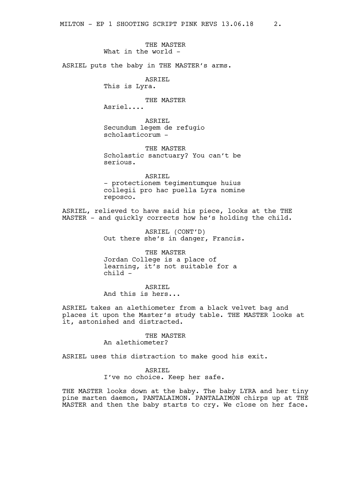# THE MASTER What in the world -

ASRIEL puts the baby in THE MASTER's arms.

ASRIEL

This is Lyra.

# THE MASTER

Asriel....

ASRIEL Secundum legem de refugio scholasticorum -

THE MASTER Scholastic sanctuary? You can't be serious.

ASRIEL - protectionem tegimentumque huius collegii pro hac puella Lyra nomine reposco.

ASRIEL, relieved to have said his piece, looks at the THE MASTER - and quickly corrects how he's holding the child.

> ASRIEL (CONT'D) Out there she's in danger, Francis.

THE MASTER Jordan College is a place of learning, it's not suitable for a child -

ASRIEL And this is hers...

ASRIEL takes an alethiometer from a black velvet bag and places it upon the Master's study table. THE MASTER looks at it, astonished and distracted.

#### THE MASTER

An alethiometer?

ASRIEL uses this distraction to make good his exit.

# ASRIEL

I've no choice. Keep her safe.

THE MASTER looks down at the baby. The baby LYRA and her tiny pine marten daemon, PANTALAIMON. PANTALAIMON chirps up at THE MASTER and then the baby starts to cry. We close on her face.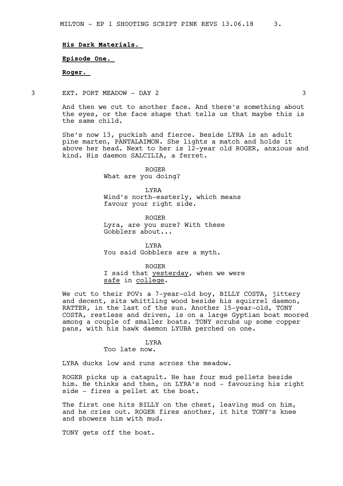#### **His Dark Materials.**

**Episode One.** 

**Roger.** 

3 EXT. PORT MEADOW - DAY 2 3

And then we cut to another face. And there's something about the eyes, or the face shape that tells us that maybe this is the same child.

She's now 13, puckish and fierce. Beside LYRA is an adult pine marten, PANTALAIMON. She lights a match and holds it above her head. Next to her is 12-year old ROGER, anxious and kind. His daemon SALCILIA, a ferret.

> ROGER What are you doing?

LYRA Wind's north-easterly, which means favour your right side.

ROGER Lyra, are you sure? With these Gobblers about...

LYRA You said Gobblers are a myth.

ROGER I said that yesterday, when we were safe in college.

We cut to their POV: a 7-year-old boy, BILLY COSTA, jittery and decent, sits whittling wood beside his squirrel daemon, RATTER, in the last of the sun. Another 15-year-old, TONY COSTA, restless and driven, is on a large Gyptian boat moored among a couple of smaller boats. TONY scrubs up some copper pans, with his hawk daemon LYUBA perched on one.

#### LYRA

Too late now.

LYRA ducks low and runs across the meadow.

ROGER picks up a catapult. He has four mud pellets beside him. He thinks and then, on LYRA's nod - favouring his right side - fires a pellet at the boat.

The first one hits BILLY on the chest, leaving mud on him, and he cries out. ROGER fires another, it hits TONY's knee and showers him with mud.

TONY gets off the boat.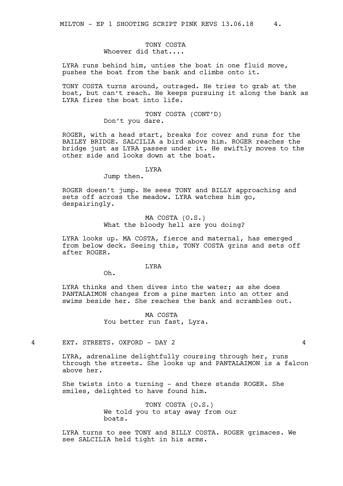TONY COSTA Whoever did that....

LYRA runs behind him, unties the boat in one fluid move, pushes the boat from the bank and climbs onto it.

TONY COSTA turns around, outraged. He tries to grab at the boat, but can't reach. He keeps pursuing it along the bank as LYRA fires the boat into life.

> TONY COSTA (CONT'D) Don't you dare.

ROGER, with a head start, breaks for cover and runs for the BAILEY BRIDGE. SALCILIA a bird above him. ROGER reaches the bridge just as LYRA passes under it. He swiftly moves to the other side and looks down at the boat.

#### LYRA

Jump then.

ROGER doesn't jump. He sees TONY and BILLY approaching and sets off across the meadow. LYRA watches him go, despairingly.

> MA COSTA (O.S.) What the bloody hell are you doing?

LYRA looks up. MA COSTA, fierce and maternal, has emerged from below deck. Seeing this, TONY COSTA grins and sets off after ROGER.

#### LYRA

Oh.

LYRA thinks and then dives into the water; as she does PANTALAIMON changes from a pine marten into an otter and swims beside her. She reaches the bank and scrambles out.

> MA COSTA You better run fast, Lyra.

4 EXT. STREETS. OXFORD - DAY 2 4

LYRA, adrenaline delightfully coursing through her, runs through the streets. She looks up and PANTALAIMON is a falcon above her.

She twists into a turning - and there stands ROGER. She smiles, delighted to have found him.

> TONY COSTA (O.S.) We told you to stay away from our boats.

LYRA turns to see TONY and BILLY COSTA. ROGER grimaces. We see SALCILIA held tight in his arms.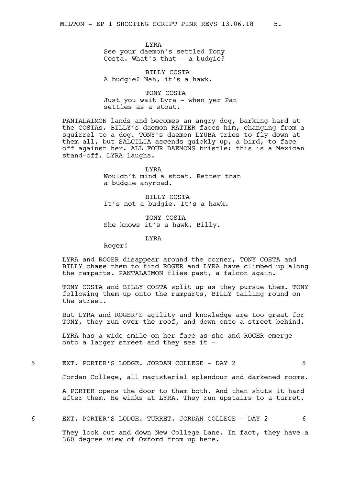LYRA See your daemon's settled Tony Costa. What's that - a budgie?

BILLY COSTA A budgie? Nah, it's a hawk.

TONY COSTA Just you wait Lyra - when yer Pan settles as a stoat.

PANTALAIMON lands and becomes an angry dog, barking hard at the COSTAs. BILLY's daemon RATTER faces him, changing from a squirrel to a dog. TONY's daemon LYUBA tries to fly down at them all, but SALCILIA ascends quickly up, a bird, to face off against her. ALL FOUR DAEMONS bristle: this is a Mexican stand-off. LYRA laughs.

> LYRA Wouldn't mind a stoat. Better than a budgie anyroad.

BILLY COSTA It's not a budgie. It's a hawk.

TONY COSTA She knows it's a hawk, Billy.

**T.YRA** 

Roger!

LYRA and ROGER disappear around the corner, TONY COSTA and BILLY chase them to find ROGER and LYRA have climbed up along the ramparts. PANTALAIMON flies past, a falcon again.

TONY COSTA and BILLY COSTA split up as they pursue them. TONY following them up onto the ramparts, BILLY tailing round on the street.

But LYRA and ROGER'S agility and knowledge are too great for TONY, they run over the roof, and down onto a street behind.

LYRA has a wide smile on her face as she and ROGER emerge onto a larger street and they see it -

5 EXT. PORTER'S LODGE. JORDAN COLLEGE - DAY 2 5

Jordan College, all magisterial splendour and darkened rooms.

A PORTER opens the door to them both. And then shuts it hard after them. He winks at LYRA. They run upstairs to a turret.

6 EXT. PORTER'S LODGE. TURRET. JORDAN COLLEGE - DAY 2 6

They look out and down New College Lane. In fact, they have a 360 degree view of Oxford from up here.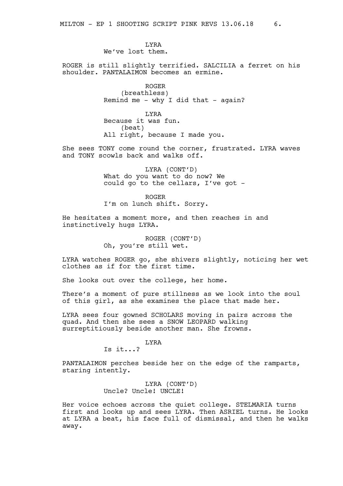LYRA We've lost them.

ROGER is still slightly terrified. SALCILIA a ferret on his shoulder. PANTALAIMON becomes an ermine.

> ROGER (breathless) Remind me - why I did that - again?

**T.YRA** Because it was fun. (beat) All right, because I made you.

She sees TONY come round the corner, frustrated. LYRA waves and TONY scowls back and walks off.

> LYRA (CONT'D) What do you want to do now? We could go to the cellars, I've got -

ROGER I'm on lunch shift. Sorry.

He hesitates a moment more, and then reaches in and instinctively hugs LYRA.

> ROGER (CONT'D) Oh, you're still wet.

LYRA watches ROGER go, she shivers slightly, noticing her wet clothes as if for the first time.

She looks out over the college, her home.

There's a moment of pure stillness as we look into the soul of this girl, as she examines the place that made her.

LYRA sees four gowned SCHOLARS moving in pairs across the quad. And then she sees a SNOW LEOPARD walking surreptitiously beside another man. She frowns.

#### LYRA

Is it...?

PANTALAIMON perches beside her on the edge of the ramparts, staring intently.

> LYRA (CONT'D) Uncle? Uncle! UNCLE!

Her voice echoes across the quiet college. STELMARIA turns first and looks up and sees LYRA. Then ASRIEL turns. He looks at LYRA a beat, his face full of dismissal, and then he walks away.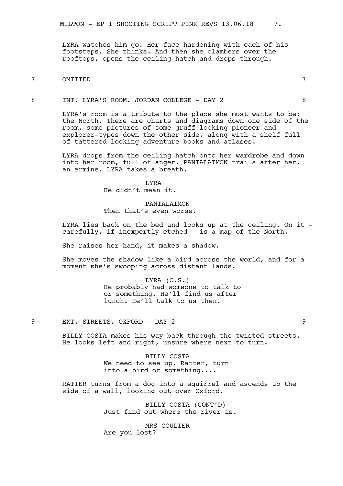LYRA watches him go. Her face hardening with each of his footsteps. She thinks. And then she clambers over the rooftops, opens the ceiling hatch and drops through.

# 7 OMITTED 7

# 8 INT. LYRA'S ROOM. JORDAN COLLEGE - DAY 2 8

LYRA's room is a tribute to the place she most wants to be: the North. There are charts and diagrams down one side of the room, some pictures of some gruff-looking pioneer and explorer-types down the other side, along with a shelf full of tattered-looking adventure books and atlases.

LYRA drops from the ceiling hatch onto her wardrobe and down into her room, full of anger. PANTALAIMON trails after her, an ermine. LYRA takes a breath.

> LYRA He didn't mean it.

# PANTALAIMON Then that's even worse.

LYRA lies back on the bed and looks up at the ceiling. On it carefully, if inexpertly etched - is a map of the North.

She raises her hand, it makes a shadow.

She moves the shadow like a bird across the world, and for a moment she's swooping across distant lands.

> LYRA (O.S.) He probably had someone to talk to or something. He'll find us after lunch. He'll talk to us then.

9 EXT. STREETS. OXFORD - DAY 2 9

BILLY COSTA makes his way back through the twisted streets. He looks left and right, unsure where next to turn.

> BILLY COSTA We need to see up, Ratter, turn into a bird or something....

RATTER turns from a dog into a squirrel and ascends up the side of a wall, looking out over Oxford.

> BILLY COSTA (CONT'D) Just find out where the river is.

MRS COULTER Are you lost?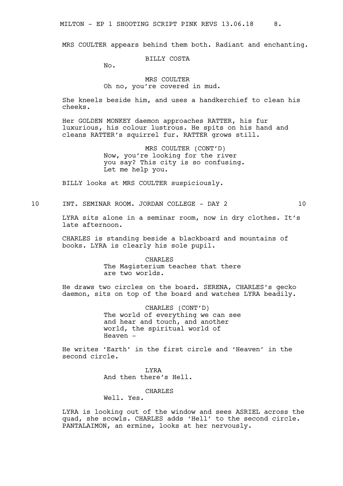MILTON - EP 1 SHOOTING SCRIPT PINK REVS 13.06.18 8.

MRS COULTER appears behind them both. Radiant and enchanting.

BILLY COSTA

 $N_{\Omega}$ .

#### MRS COULTER Oh no, you're covered in mud.

She kneels beside him, and uses a handkerchief to clean his cheeks.

Her GOLDEN MONKEY daemon approaches RATTER, his fur luxurious, his colour lustrous. He spits on his hand and cleans RATTER's squirrel fur. RATTER grows still.

> MRS COULTER (CONT'D) Now, you're looking for the river you say? This city is so confusing. Let me help you.

BILLY looks at MRS COULTER suspiciously.

10 INT. SEMINAR ROOM. JORDAN COLLEGE - DAY 2 10

LYRA sits alone in a seminar room, now in dry clothes. It's late afternoon.

CHARLES is standing beside a blackboard and mountains of books. LYRA is clearly his sole pupil.

> CHARLES The Magisterium teaches that there are two worlds.

He draws two circles on the board. SERENA, CHARLES's gecko daemon, sits on top of the board and watches LYRA beadily.

> CHARLES (CONT'D) The world of everything we can see and hear and touch, and another world, the spiritual world of Heaven -

He writes 'Earth' in the first circle and 'Heaven' in the second circle.

> **T.YRA** And then there's Hell.

# CHARLES

Well. Yes.

LYRA is looking out of the window and sees ASRIEL across the quad, she scowls. CHARLES adds 'Hell' to the second circle. PANTALAIMON, an ermine, looks at her nervously.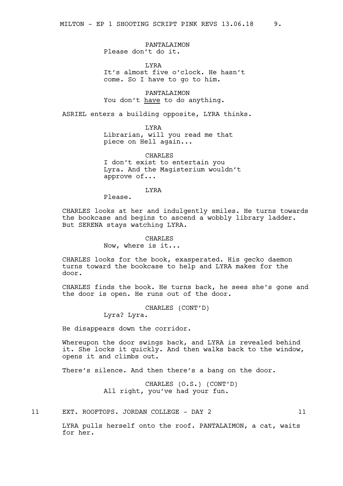PANTALAIMON Please don't do it.

LYRA It's almost five o'clock. He hasn't come. So I have to go to him.

PANTALAIMON You don't have to do anything.

ASRIEL enters a building opposite, LYRA thinks.

LYRA Librarian, will you read me that piece on Hell again...

CHARLES I don't exist to entertain you Lyra. And the Magisterium wouldn't approve of...

LYRA

Please.

CHARLES looks at her and indulgently smiles. He turns towards the bookcase and begins to ascend a wobbly library ladder. But SERENA stays watching LYRA.

# **CHARLES**

Now, where is it...

CHARLES looks for the book, exasperated. His gecko daemon turns toward the bookcase to help and LYRA makes for the door.

CHARLES finds the book. He turns back, he sees she's gone and the door is open. He runs out of the door.

CHARLES (CONT'D)

Lyra? Lyra.

He disappears down the corridor.

Whereupon the door swings back, and LYRA is revealed behind it. She locks it quickly. And then walks back to the window, opens it and climbs out.

There's silence. And then there's a bang on the door.

CHARLES (O.S.) (CONT'D) All right, you've had your fun.

11 EXT. ROOFTOPS. JORDAN COLLEGE - DAY 2 11

LYRA pulls herself onto the roof. PANTALAIMON, a cat, waits for her.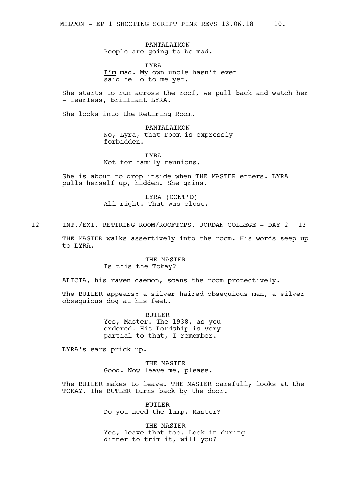PANTALAIMON People are going to be mad.

LYRA I'm mad. My own uncle hasn't even said hello to me yet.

She starts to run across the roof, we pull back and watch her - fearless, brilliant LYRA.

She looks into the Retiring Room.

PANTALAIMON No, Lyra, that room is expressly forbidden.

LYRA Not for family reunions.

She is about to drop inside when THE MASTER enters. LYRA pulls herself up, hidden. She grins.

> LYRA (CONT'D) All right. That was close.

12 INT./EXT. RETIRING ROOM/ROOFTOPS. JORDAN COLLEGE - DAY 2 12

THE MASTER walks assertively into the room. His words seep up to LYRA.

# THE MASTER Is this the Tokay?

ALICIA, his raven daemon, scans the room protectively.

The BUTLER appears: a silver haired obsequious man, a silver obsequious dog at his feet.

> BUTLER Yes, Master. The 1938, as you ordered. His Lordship is very partial to that, I remember.

LYRA's ears prick up.

THE MASTER Good. Now leave me, please.

The BUTLER makes to leave. THE MASTER carefully looks at the TOKAY. The BUTLER turns back by the door.

> BUTLER Do you need the lamp, Master?

THE MASTER Yes, leave that too. Look in during dinner to trim it, will you?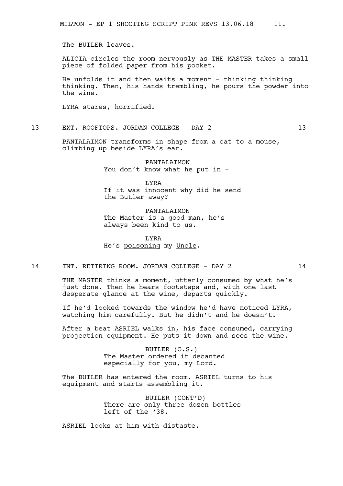The BUTLER leaves.

ALICIA circles the room nervously as THE MASTER takes a small piece of folded paper from his pocket.

He unfolds it and then waits a moment - thinking thinking thinking. Then, his hands trembling, he pours the powder into the wine.

LYRA stares, horrified.

13 EXT. ROOFTOPS. JORDAN COLLEGE - DAY 2 13

PANTALAIMON transforms in shape from a cat to a mouse, climbing up beside LYRA's ear.

> PANTALAIMON You don't know what he put in -

LYRA If it was innocent why did he send the Butler away?

PANTALAIMON The Master is a good man, he's always been kind to us.

LYRA He's poisoning my Uncle.

14 INT. RETIRING ROOM. JORDAN COLLEGE - DAY 2 14

THE MASTER thinks a moment, utterly consumed by what he's just done. Then he hears footsteps and, with one last desperate glance at the wine, departs quickly.

If he'd looked towards the window he'd have noticed LYRA, watching him carefully. But he didn't and he doesn't.

After a beat ASRIEL walks in, his face consumed, carrying projection equipment. He puts it down and sees the wine.

> BUTLER (O.S.) The Master ordered it decanted especially for you, my Lord.

The BUTLER has entered the room. ASRIEL turns to his equipment and starts assembling it.

> BUTLER (CONT'D) There are only three dozen bottles left of the '38.

ASRIEL looks at him with distaste.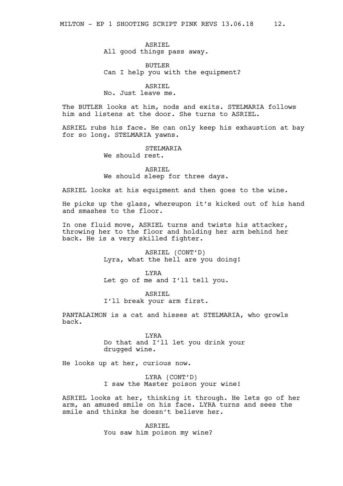ASRIEL All good things pass away.

BUTLER Can I help you with the equipment?

ASRIEL

No. Just leave me.

The BUTLER looks at him, nods and exits. STELMARIA follows him and listens at the door. She turns to ASRIEL.

ASRIEL rubs his face. He can only keep his exhaustion at bay for so long. STELMARIA yawns.

#### STELMARIA

We should rest.

ASRIEL We should sleep for three days.

ASRIEL looks at his equipment and then goes to the wine.

He picks up the glass, whereupon it's kicked out of his hand and smashes to the floor.

In one fluid move, ASRIEL turns and twists his attacker, throwing her to the floor and holding her arm behind her back. He is a very skilled fighter.

> ASRIEL (CONT'D) Lyra, what the hell are you doing!

LYRA Let go of me and I'll tell you.

ASRIEL I'll break your arm first.

PANTALAIMON is a cat and hisses at STELMARIA, who growls back.

> LYRA Do that and I'll let you drink your drugged wine.

He looks up at her, curious now.

LYRA (CONT'D) I saw the Master poison your wine!

ASRIEL looks at her, thinking it through. He lets go of her arm, an amused smile on his face. LYRA turns and sees the smile and thinks he doesn't believe her.

> ASRIEL You saw him poison my wine?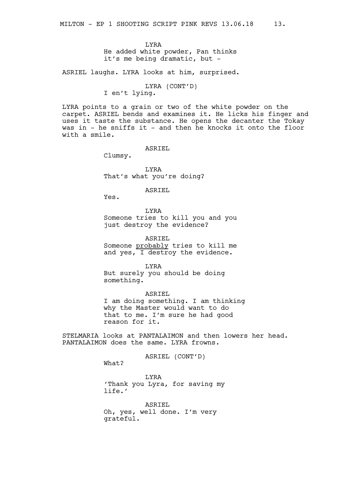LYRA He added white powder, Pan thinks it's me being dramatic, but -

ASRIEL laughs. LYRA looks at him, surprised.

# LYRA (CONT'D) I en't lying.

LYRA points to a grain or two of the white powder on the carpet. ASRIEL bends and examines it. He licks his finger and uses it taste the substance. He opens the decanter the Tokay was in - he sniffs it - and then he knocks it onto the floor with a smile.

ASRIEL

Clumsy.

LYRA That's what you're doing?

ASRIEL

Yes.

LYRA Someone tries to kill you and you just destroy the evidence?

ASRIEL Someone probably tries to kill me and yes, I destroy the evidence.

LYRA But surely you should be doing something.

ASRIEL I am doing something. I am thinking why the Master would want to do that to me. I'm sure he had good reason for it.

STELMARIA looks at PANTALAIMON and then lowers her head. PANTALAIMON does the same. LYRA frowns.

ASRIEL (CONT'D)

What?

LYRA 'Thank you Lyra, for saving my life.'

ASRIEL Oh, yes, well done. I'm very grateful.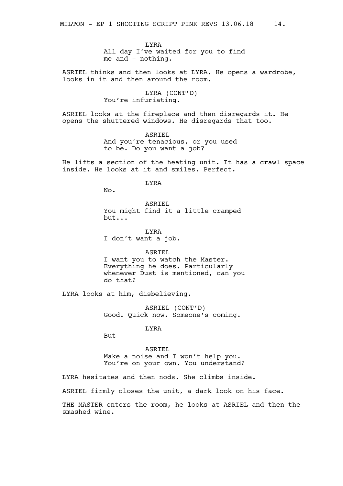LYRA All day I've waited for you to find me and - nothing.

ASRIEL thinks and then looks at LYRA. He opens a wardrobe, looks in it and then around the room.

> LYRA (CONT'D) You're infuriating.

ASRIEL looks at the fireplace and then disregards it. He opens the shuttered windows. He disregards that too.

> ASRIEL And you're tenacious, or you used to be. Do you want a job?

He lifts a section of the heating unit. It has a crawl space inside. He looks at it and smiles. Perfect.

LYRA

No.

ASRIEL You might find it a little cramped but...

LYRA I don't want a job.

ASRIEL

I want you to watch the Master. Everything he does. Particularly whenever Dust is mentioned, can you do that?

LYRA looks at him, disbelieving.

ASRIEL (CONT'D) Good. Quick now. Someone's coming.

LYRA

 $But -$ 

ASRIEL Make a noise and I won't help you. You're on your own. You understand?

LYRA hesitates and then nods. She climbs inside.

ASRIEL firmly closes the unit, a dark look on his face.

THE MASTER enters the room, he looks at ASRIEL and then the smashed wine.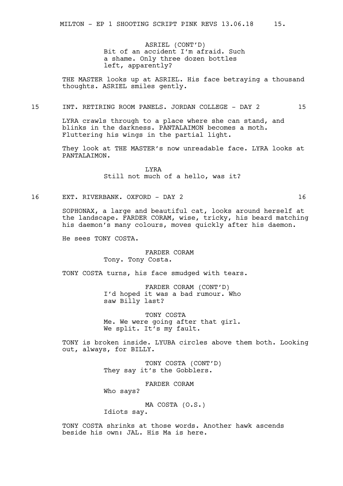ASRIEL (CONT'D) Bit of an accident I'm afraid. Such a shame. Only three dozen bottles left, apparently?

THE MASTER looks up at ASRIEL. His face betraying a thousand thoughts. ASRIEL smiles gently.

# 15 INT. RETIRING ROOM PANELS. JORDAN COLLEGE - DAY 2 15

LYRA crawls through to a place where she can stand, and blinks in the darkness. PANTALAIMON becomes a moth. Fluttering his wings in the partial light.

They look at THE MASTER's now unreadable face. LYRA looks at PANTALAIMON.

> LYRA Still not much of a hello, was it?

16 EXT. RIVERBANK. OXFORD - DAY 2 16

SOPHONAX, a large and beautiful cat, looks around herself at the landscape. FARDER CORAM, wise, tricky, his beard matching his daemon's many colours, moves quickly after his daemon.

He sees TONY COSTA.

# FARDER CORAM Tony. Tony Costa.

TONY COSTA turns, his face smudged with tears.

FARDER CORAM (CONT'D) I'd hoped it was a bad rumour. Who saw Billy last?

TONY COSTA Me. We were going after that girl. We split. It's my fault.

TONY is broken inside. LYUBA circles above them both. Looking out, always, for BILLY.

> TONY COSTA (CONT'D) They say it's the Gobblers.

FARDER CORAM Who says?

MA COSTA (O.S.)

Idiots say.

TONY COSTA shrinks at those words. Another hawk ascends beside his own: JAL. His Ma is here.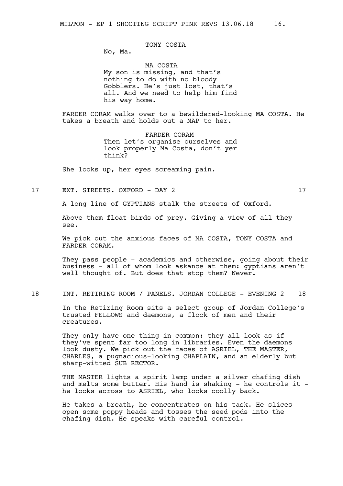# TONY COSTA

No, Ma.

MA COSTA My son is missing, and that's nothing to do with no bloody Gobblers. He's just lost, that's all. And we need to help him find his way home.

FARDER CORAM walks over to a bewildered-looking MA COSTA. He takes a breath and holds out a MAP to her.

> FARDER CORAM Then let's organise ourselves and look properly Ma Costa, don't yer think?

She looks up, her eyes screaming pain.

17 EXT. STREETS. OXFORD - DAY 2 17

A long line of GYPTIANS stalk the streets of Oxford.

Above them float birds of prey. Giving a view of all they see.

We pick out the anxious faces of MA COSTA, TONY COSTA and FARDER CORAM.

They pass people - academics and otherwise, going about their business - all of whom look askance at them: gyptians aren't well thought of. But does that stop them? Never.

18 INT. RETIRING ROOM / PANELS. JORDAN COLLEGE - EVENING 2 18

In the Retiring Room sits a select group of Jordan College's trusted FELLOWS and daemons, a flock of men and their creatures.

They only have one thing in common: they all look as if they've spent far too long in libraries. Even the daemons look dusty. We pick out the faces of ASRIEL, THE MASTER, CHARLES, a pugnacious-looking CHAPLAIN, and an elderly but sharp-witted SUB RECTOR.

THE MASTER lights a spirit lamp under a silver chafing dish and melts some butter. His hand is shaking  $-$  he controls it  $$ he looks across to ASRIEL, who looks coolly back.

He takes a breath, he concentrates on his task. He slices open some poppy heads and tosses the seed pods into the chafing dish. He speaks with careful control.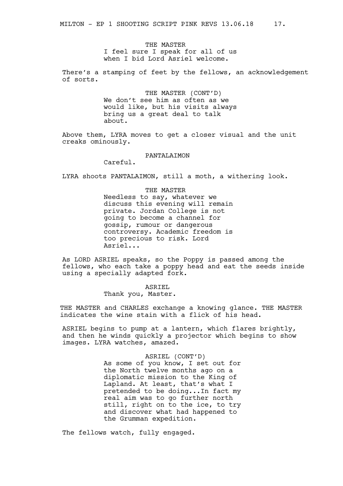THE MASTER I feel sure I speak for all of us when I bid Lord Asriel welcome.

There's a stamping of feet by the fellows, an acknowledgement of sorts.

> THE MASTER (CONT'D) We don't see him as often as we would like, but his visits always bring us a great deal to talk about.

Above them, LYRA moves to get a closer visual and the unit creaks ominously.

#### PANTALAIMON

Careful.

LYRA shoots PANTALAIMON, still a moth, a withering look.

#### THE MASTER

Needless to say, whatever we discuss this evening will remain private. Jordan College is not going to become a channel for gossip, rumour or dangerous controversy. Academic freedom is too precious to risk. Lord Asriel...

As LORD ASRIEL speaks, so the Poppy is passed among the fellows, who each take a poppy head and eat the seeds inside using a specially adapted fork.

> ASRIEL Thank you, Master.

THE MASTER and CHARLES exchange a knowing glance. THE MASTER indicates the wine stain with a flick of his head.

ASRIEL begins to pump at a lantern, which flares brightly, and then he winds quickly a projector which begins to show images. LYRA watches, amazed.

> ASRIEL (CONT'D) As some of you know, I set out for the North twelve months ago on a diplomatic mission to the King of Lapland. At least, that's what I pretended to be doing...In fact my real aim was to go further north still, right on to the ice, to try and discover what had happened to the Grumman expedition.

The fellows watch, fully engaged.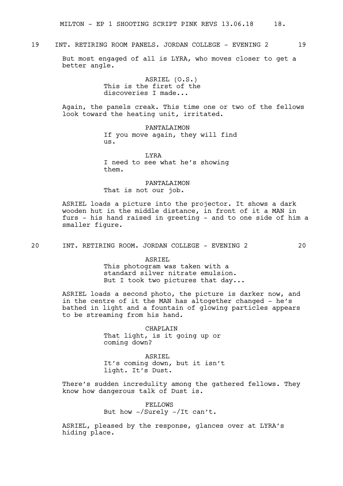# 19 INT. RETIRING ROOM PANELS. JORDAN COLLEGE - EVENING 2 19

But most engaged of all is LYRA, who moves closer to get a better angle.

> ASRIEL (O.S.) This is the first of the discoveries I made...

Again, the panels creak. This time one or two of the fellows look toward the heating unit, irritated.

> PANTALAIMON If you move again, they will find us.

LYRA I need to see what he's showing them.

PANTALAIMON That is not our job.

ASRIEL loads a picture into the projector. It shows a dark wooden hut in the middle distance, in front of it a MAN in furs - his hand raised in greeting - and to one side of him a smaller figure.

20 INT. RETIRING ROOM. JORDAN COLLEGE - EVENING 2 20

ASRIEL This photogram was taken with a standard silver nitrate emulsion. But I took two pictures that day...

ASRIEL loads a second photo, the picture is darker now, and in the centre of it the MAN has altogether changed - he's bathed in light and a fountain of glowing particles appears to be streaming from his hand.

> CHAPLAIN That light, is it going up or coming down?

ASRIEL It's coming down, but it isn't light. It's Dust.

There's sudden incredulity among the gathered fellows. They know how dangerous talk of Dust is.

> FELLOWS But how -/Surely -/It can't.

ASRIEL, pleased by the response, glances over at LYRA's hiding place.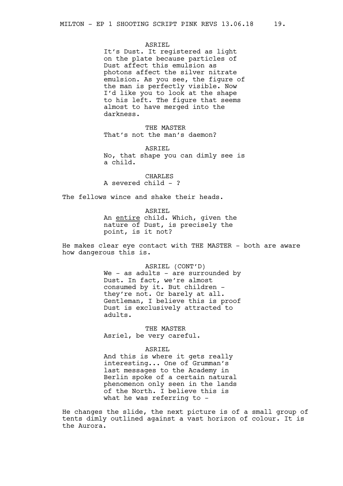#### ASRIEL

It's Dust. It registered as light on the plate because particles of Dust affect this emulsion as photons affect the silver nitrate emulsion. As you see, the figure of the man is perfectly visible. Now I'd like you to look at the shape to his left. The figure that seems almost to have merged into the darkness.

THE MASTER That's not the man's daemon?

ASRIEL No, that shape you can dimly see is a child.

CHARLES A severed child - ?

The fellows wince and shake their heads.

ASRIEL An entire child. Which, given the nature of Dust, is precisely the point, is it not?

He makes clear eye contact with THE MASTER - both are aware how dangerous this is.

> ASRIEL (CONT'D) We - as adults - are surrounded by Dust. In fact, we're almost consumed by it. But children they're not. Or barely at all. Gentleman, I believe this is proof Dust is exclusively attracted to adults.

THE MASTER Asriel, be very careful.

#### ASRIEL

And this is where it gets really interesting... One of Grumman's last messages to the Academy in Berlin spoke of a certain natural phenomenon only seen in the lands of the North. I believe this is what he was referring to -

He changes the slide, the next picture is of a small group of tents dimly outlined against a vast horizon of colour. It is the Aurora.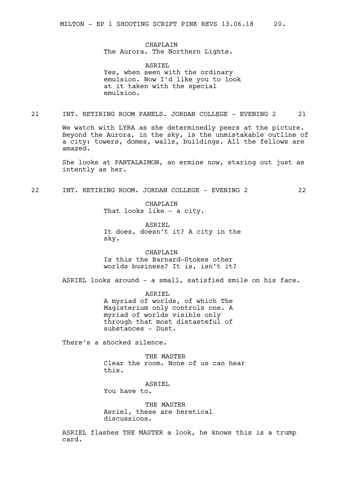CHAPLAIN The Aurora. The Northern Lights.

ASRIEL Yes, when seen with the ordinary emulsion. Now I'd like you to look at it taken with the special emulsion.

21 INT. RETIRING ROOM PANELS. JORDAN COLLEGE - EVENING 2 21

We watch with LYRA as she determinedly peers at the picture. Beyond the Aurora, in the sky, is the unmistakable outline of a city: towers, domes, walls, buildings. All the fellows are amazed.

She looks at PANTALAIMON, an ermine now, staring out just as intently as her.

22 INT. RETIRING ROOM. JORDAN COLLEGE - EVENING 2 22

CHAPLAIN That looks like - a city.

ASRIEL It does, doesn't it? A city in the sky.

CHAPLAIN Is this the Barnard-Stokes other worlds business? It is, isn't it?

ASRIEL looks around - a small, satisfied smile on his face.

ASRIEL A myriad of worlds, of which The Magisterium only controls one. A myriad of worlds visible only through that most distasteful of substances - Dust.

There's a shocked silence.

THE MASTER Clear the room. None of us can hear this.

ASRIEL You have to.

THE MASTER Asriel, these are heretical discussions.

ASRIEL flashes THE MASTER a look, he knows this is a trump card.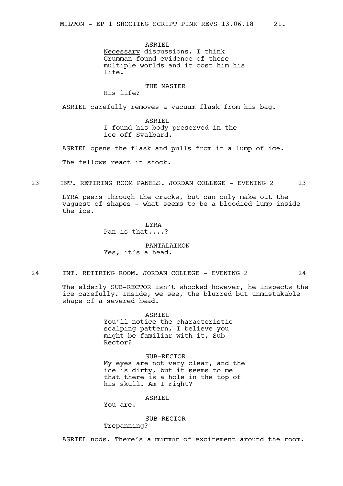ASRIEL Necessary discussions. I think Grumman found evidence of these multiple worlds and it cost him his life.

# THE MASTER

His life?

ASRIEL carefully removes a vacuum flask from his bag.

ASRIEL I found his body preserved in the ice off Svalbard.

ASRIEL opens the flask and pulls from it a lump of ice. The fellows react in shock.

23 INT. RETIRING ROOM PANELS. JORDAN COLLEGE - EVENING 2 23

LYRA peers through the cracks, but can only make out the vaguest of shapes - what seems to be a bloodied lump inside the ice.

> LYRA Pan is that....?

# PANTALAIMON Yes, it's a head.

24 INT. RETIRING ROOM. JORDAN COLLEGE - EVENING 2 24

The elderly SUB-RECTOR isn't shocked however, he inspects the ice carefully. Inside, we see, the blurred but unmistakable shape of a severed head.

> ASRIEL You'll notice the characteristic scalping pattern, I believe you might be familiar with it, Sub-Rector?

SUB-RECTOR My eyes are not very clear, and the ice is dirty, but it seems to me that there is a hole in the top of his skull. Am I right?

ASRIEL

You are.

SUB-RECTOR

Trepanning?

ASRIEL nods. There's a murmur of excitement around the room.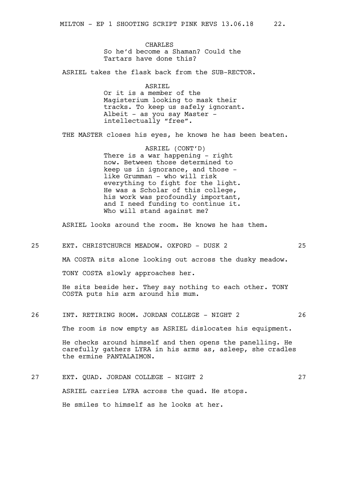CHARLES So he'd become a Shaman? Could the Tartars have done this?

ASRIEL takes the flask back from the SUB-RECTOR.

ASRIEL Or it is a member of the Magisterium looking to mask their tracks. To keep us safely ignorant. Albeit - as you say Master intellectually "free".

THE MASTER closes his eyes, he knows he has been beaten.

ASRIEL (CONT'D) There is a war happening - right now. Between those determined to keep us in ignorance, and those like Grumman - who will risk everything to fight for the light. He was a Scholar of this college, his work was profoundly important, and I need funding to continue it. Who will stand against me?

ASRIEL looks around the room. He knows he has them.

25 EXT. CHRISTCHURCH MEADOW. OXFORD - DUSK 2 25

MA COSTA sits alone looking out across the dusky meadow.

TONY COSTA slowly approaches her.

He sits beside her. They say nothing to each other. TONY COSTA puts his arm around his mum.

# 26 INT. RETIRING ROOM. JORDAN COLLEGE - NIGHT 2 26

The room is now empty as ASRIEL dislocates his equipment.

He checks around himself and then opens the panelling. He carefully gathers LYRA in his arms as, asleep, she cradles the ermine PANTALAIMON.

27 EXT. QUAD. JORDAN COLLEGE - NIGHT 2 27 ASRIEL carries LYRA across the quad. He stops. He smiles to himself as he looks at her.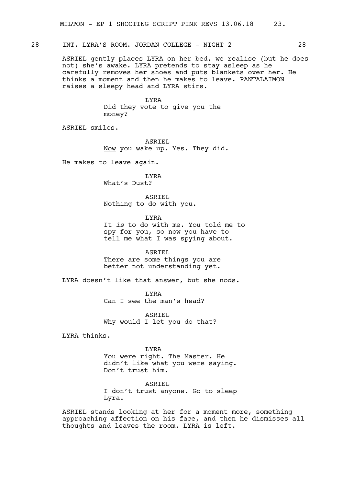# 28 INT. LYRA'S ROOM. JORDAN COLLEGE - NIGHT 2 28

ASRIEL gently places LYRA on her bed, we realise (but he does not) she's awake. LYRA pretends to stay asleep as he carefully removes her shoes and puts blankets over her. He thinks a moment and then he makes to leave. PANTALAIMON raises a sleepy head and LYRA stirs.

> LYRA Did they vote to give you the money?

ASRIEL smiles.

ASRIEL Now you wake up. Yes. They did.

He makes to leave again.

# LYRA

What's Dust?

ASRIEL Nothing to do with you.

LYRA

It *is* to do with me. You told me to spy for you, so now you have to tell me what I was spying about.

ASRIEL There are some things you are better not understanding yet.

LYRA doesn't like that answer, but she nods.

LYRA Can I see the man's head?

ASRIEL Why would I let you do that?

LYRA thinks.

#### LYRA

You were right. The Master. He didn't like what you were saying. Don't trust him.

ASRIEL I don't trust anyone. Go to sleep Lyra.

ASRIEL stands looking at her for a moment more, something approaching affection on his face, and then he dismisses all thoughts and leaves the room. LYRA is left.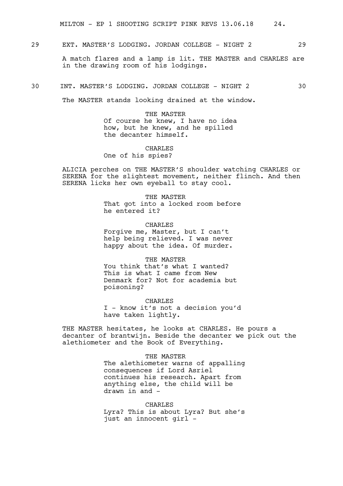MILTON - EP 1 SHOOTING SCRIPT PINK REVS 13.06.18 24.

29 EXT. MASTER'S LODGING. JORDAN COLLEGE - NIGHT 2 29

A match flares and a lamp is lit. THE MASTER and CHARLES are in the drawing room of his lodgings.

30 INT. MASTER'S LODGING. JORDAN COLLEGE - NIGHT 2 30

The MASTER stands looking drained at the window.

THE MASTER Of course he knew, I have no idea how, but he knew, and he spilled the decanter himself.

CHARLES One of his spies?

ALICIA perches on THE MASTER'S shoulder watching CHARLES or SERENA for the slightest movement, neither flinch. And then SERENA licks her own eyeball to stay cool.

> THE MASTER That got into a locked room before he entered it?

CHARLES Forgive me, Master, but I can't help being relieved. I was never happy about the idea. Of murder.

THE MASTER You think that's what I wanted? This is what I came from New Denmark for? Not for academia but poisoning?

CHARLES I - know it's not a decision you'd have taken lightly.

THE MASTER hesitates, he looks at CHARLES. He pours a decanter of brantwijn. Beside the decanter we pick out the alethiometer and the Book of Everything.

> THE MASTER The alethiometer warns of appalling consequences if Lord Asriel continues his research. Apart from anything else, the child will be drawn in and -

> **CHARLES** Lyra? This is about Lyra? But she's just an innocent girl -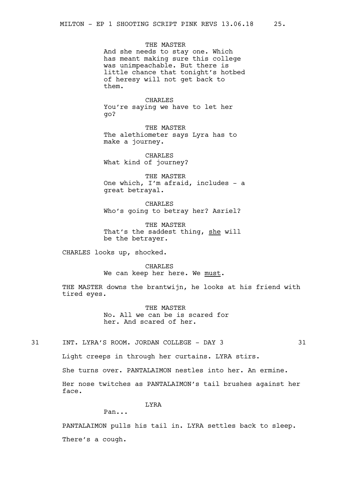THE MASTER And she needs to stay one. Which has meant making sure this college was unimpeachable. But there is little chance that tonight's hotbed of heresy will not get back to them.

CHARLES You're saying we have to let her go?

THE MASTER The alethiometer says Lyra has to make a journey.

CHARLES What kind of journey?

THE MASTER One which, I'm afraid, includes - a great betrayal.

CHARLES Who's going to betray her? Asriel?

THE MASTER That's the saddest thing, she will be the betrayer.

CHARLES looks up, shocked.

CHARLES We can keep her here. We must.

THE MASTER downs the brantwijn, he looks at his friend with tired eyes.

> THE MASTER No. All we can be is scared for her. And scared of her.

31 INT. LYRA'S ROOM. JORDAN COLLEGE - DAY 3 31

Light creeps in through her curtains. LYRA stirs.

She turns over. PANTALAIMON nestles into her. An ermine.

Her nose twitches as PANTALAIMON's tail brushes against her face.

LYRA

Pan...

PANTALAIMON pulls his tail in. LYRA settles back to sleep. There's a cough.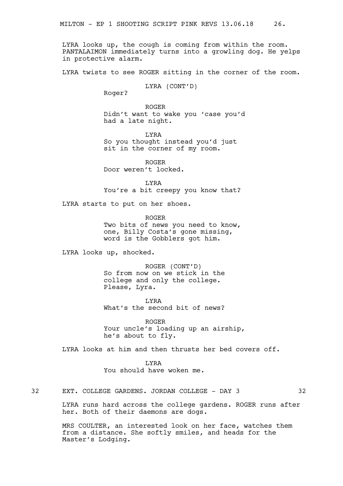LYRA looks up, the cough is coming from within the room. PANTALAIMON immediately turns into a growling dog. He yelps in protective alarm.

LYRA twists to see ROGER sitting in the corner of the room.

LYRA (CONT'D)

Roger?

ROGER Didn't want to wake you 'case you'd had a late night.

LYRA So you thought instead you'd just sit in the corner of my room.

ROGER Door weren't locked.

LYRA You're a bit creepy you know that?

LYRA starts to put on her shoes.

ROGER Two bits of news you need to know, one, Billy Costa's gone missing, word is the Gobblers got him.

LYRA looks up, shocked.

ROGER (CONT'D) So from now on we stick in the college and only the college. Please, Lyra.

LYRA What's the second bit of news?

ROGER Your uncle's loading up an airship, he's about to fly.

LYRA looks at him and then thrusts her bed covers off.

LYRA You should have woken me.

32 EXT. COLLEGE GARDENS. JORDAN COLLEGE - DAY 3 32

LYRA runs hard across the college gardens. ROGER runs after her. Both of their daemons are dogs.

MRS COULTER, an interested look on her face, watches them from a distance. She softly smiles, and heads for the Master's Lodging.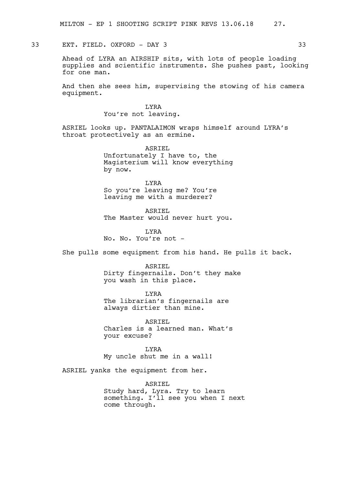# 33 EXT. FIELD. OXFORD - DAY 3 33

Ahead of LYRA an AIRSHIP sits, with lots of people loading supplies and scientific instruments. She pushes past, looking for one man.

And then she sees him, supervising the stowing of his camera equipment.

# LYRA

You're not leaving.

ASRIEL looks up. PANTALAIMON wraps himself around LYRA's throat protectively as an ermine.

> ASRIEL Unfortunately I have to, the Magisterium will know everything by now.

LYRA So you're leaving me? You're leaving me with a murderer?

ASRIEL The Master would never hurt you.

LYRA No. No. You're not -

She pulls some equipment from his hand. He pulls it back.

ASRIEL Dirty fingernails. Don't they make you wash in this place.

LYRA The librarian's fingernails are always dirtier than mine.

ASRIEL Charles is a learned man. What's your excuse?

LYRA My uncle shut me in a wall!

ASRIEL yanks the equipment from her.

ASRIEL Study hard, Lyra. Try to learn something. I'll see you when I next come through.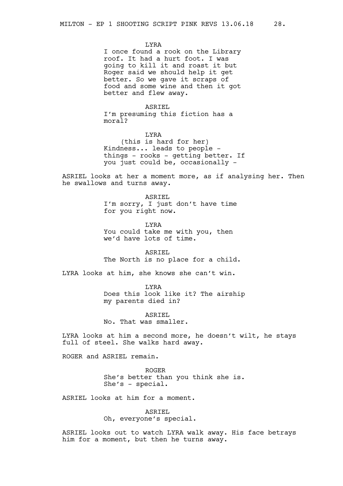LYRA

I once found a rook on the Library roof. It had a hurt foot. I was going to kill it and roast it but Roger said we should help it get better. So we gave it scraps of food and some wine and then it got better and flew away.

# ASRIEL

I'm presuming this fiction has a moral?

LYRA (this is hard for her) Kindness... leads to people things - rooks - getting better. If you just could be, occasionally -

ASRIEL looks at her a moment more, as if analysing her. Then he swallows and turns away.

> ASRIEL I'm sorry, I just don't have time for you right now.

LYRA You could take me with you, then we'd have lots of time.

ASRIEL The North is no place for a child.

LYRA looks at him, she knows she can't win.

LYRA Does this look like it? The airship my parents died in?

ASRIEL No. That was smaller.

LYRA looks at him a second more, he doesn't wilt, he stays full of steel. She walks hard away.

ROGER and ASRIEL remain.

ROGER She's better than you think she is. She's - special.

ASRIEL looks at him for a moment.

ASRIEL

Oh, everyone's special.

ASRIEL looks out to watch LYRA walk away. His face betrays him for a moment, but then he turns away.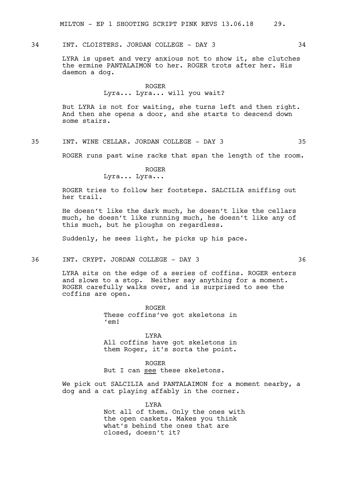MILTON - EP 1 SHOOTING SCRIPT PINK REVS 13.06.18 29.

34 INT. CLOISTERS. JORDAN COLLEGE - DAY 3 34

LYRA is upset and very anxious not to show it, she clutches the ermine PANTALAIMON to her. ROGER trots after her. His daemon a dog.

#### ROGER

# Lyra... Lyra... will you wait?

But LYRA is not for waiting, she turns left and then right. And then she opens a door, and she starts to descend down some stairs.

35 INT. WINE CELLAR. JORDAN COLLEGE - DAY 3 35

ROGER runs past wine racks that span the length of the room.

ROGER

Lyra... Lyra...

ROGER tries to follow her footsteps. SALCILIA sniffing out her trail.

He doesn't like the dark much, he doesn't like the cellars much, he doesn't like running much, he doesn't like any of this much, but he ploughs on regardless.

Suddenly, he sees light, he picks up his pace.

36 INT. CRYPT. JORDAN COLLEGE - DAY 3 36 36

LYRA sits on the edge of a series of coffins. ROGER enters and slows to a stop. Neither say anything for a moment. ROGER carefully walks over, and is surprised to see the coffins are open.

> ROGER These coffins've got skeletons in 'em!

> LYRA All coffins have got skeletons in them Roger, it's sorta the point.

ROGER But I can see these skeletons.

We pick out SALCILIA and PANTALAIMON for a moment nearby, a dog and a cat playing affably in the corner.

> LYRA Not all of them. Only the ones with the open caskets. Makes you think what's behind the ones that are closed, doesn't it?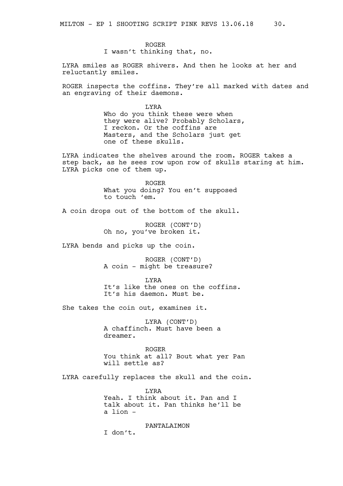ROGER I wasn't thinking that, no.

LYRA smiles as ROGER shivers. And then he looks at her and reluctantly smiles.

ROGER inspects the coffins. They're all marked with dates and an engraving of their daemons.

> LYRA Who do you think these were when they were alive? Probably Scholars, I reckon. Or the coffins are Masters, and the Scholars just get one of these skulls.

LYRA indicates the shelves around the room. ROGER takes a step back, as he sees row upon row of skulls staring at him. LYRA picks one of them up.

> ROGER What you doing? You en't supposed to touch 'em.

A coin drops out of the bottom of the skull.

ROGER (CONT'D) Oh no, you've broken it.

LYRA bends and picks up the coin.

ROGER (CONT'D) A coin - might be treasure?

LYRA It's like the ones on the coffins. It's his daemon. Must be.

She takes the coin out, examines it.

LYRA (CONT'D) A chaffinch. Must have been a dreamer.

ROGER You think at all? Bout what yer Pan will settle as?

LYRA carefully replaces the skull and the coin.

**T.YRA** Yeah. I think about it. Pan and I talk about it. Pan thinks he'll be a lion -

PANTALAIMON I don't.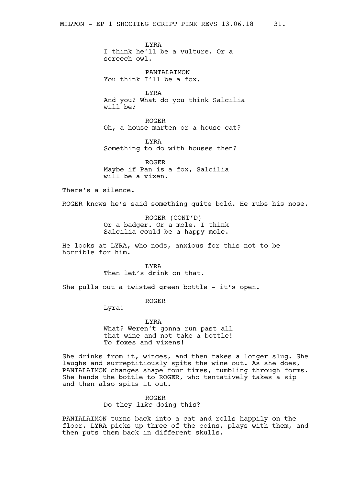LYRA I think he'll be a vulture. Or a screech owl.

PANTALAIMON You think I'll be a fox.

LYRA And you? What do you think Salcilia will be?

ROGER Oh, a house marten or a house cat?

LYRA Something to do with houses then?

ROGER Maybe if Pan is a fox, Salcilia will be a vixen.

There's a silence.

ROGER knows he's said something quite bold. He rubs his nose.

ROGER (CONT'D) Or a badger. Or a mole. I think Salcilia could be a happy mole.

He looks at LYRA, who nods, anxious for this not to be horrible for him.

> LYRA Then let's drink on that.

She pulls out a twisted green bottle - it's open.

ROGER

Lyra!

LYRA What? Weren't gonna run past all that wine and not take a bottle! To foxes and vixens!

She drinks from it, winces, and then takes a longer slug. She laughs and surreptitiously spits the wine out. As she does, PANTALAIMON changes shape four times, tumbling through forms. She hands the bottle to ROGER, who tentatively takes a sip and then also spits it out.

> ROGER Do they *like* doing this?

PANTALAIMON turns back into a cat and rolls happily on the floor. LYRA picks up three of the coins, plays with them, and then puts them back in different skulls.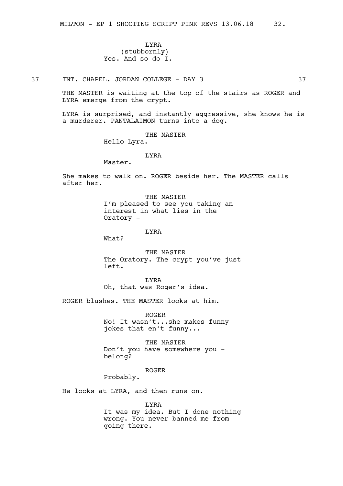# LYRA (stubbornly) Yes. And so do I.

37 INT. CHAPEL. JORDAN COLLEGE - DAY 3 37

THE MASTER is waiting at the top of the stairs as ROGER and LYRA emerge from the crypt.

LYRA is surprised, and instantly aggressive, she knows he is a murderer. PANTALAIMON turns into a dog.

THE MASTER

Hello Lyra.

LYRA

Master.

She makes to walk on. ROGER beside her. The MASTER calls after her.

> THE MASTER I'm pleased to see you taking an interest in what lies in the Oratory -

> > LYRA

What?

THE MASTER The Oratory. The crypt you've just left.

LYRA Oh, that was Roger's idea.

ROGER blushes. THE MASTER looks at him.

ROGER

No! It wasn't...she makes funny jokes that en't funny...

THE MASTER Don't you have somewhere you belong?

ROGER

Probably.

He looks at LYRA, and then runs on.

LYRA

It was my idea. But I done nothing wrong. You never banned me from going there.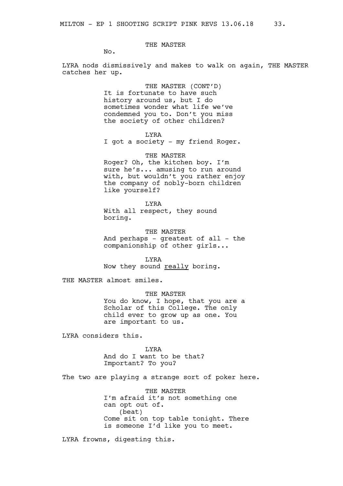# THE MASTER

No.

LYRA nods dismissively and makes to walk on again, THE MASTER catches her up.

> THE MASTER (CONT'D) It is fortunate to have such history around us, but I do sometimes wonder what life we've condemned you to. Don't you miss the society of other children?

> > LYRA

I got a society - my friend Roger.

THE MASTER Roger? Oh, the kitchen boy. I'm sure he's... amusing to run around with, but wouldn't you rather enjoy the company of nobly-born children like yourself?

LYRA With all respect, they sound boring.

THE MASTER And perhaps - greatest of all - the companionship of other girls...

LYRA Now they sound really boring.

THE MASTER almost smiles.

THE MASTER You do know, I hope, that you are a Scholar of this College. The only child ever to grow up as one. You are important to us.

LYRA considers this.

LYRA

And do I want to be that? Important? To you?

The two are playing a strange sort of poker here.

THE MASTER I'm afraid it's not something one can opt out of. (beat) Come sit on top table tonight. There is someone I'd like you to meet.

LYRA frowns, digesting this.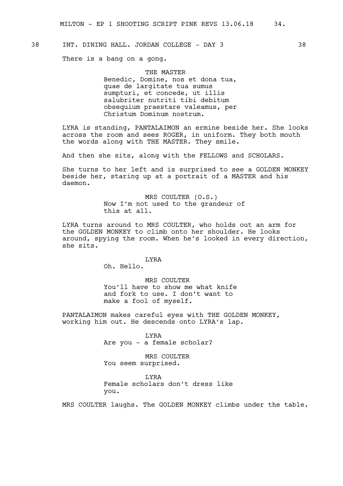# 38 INT. DINING HALL. JORDAN COLLEGE - DAY 3 38

There is a bang on a gong.

THE MASTER Benedic, Domine, nos et dona tua, quae de largitate tua sumus sumpturi, et concede, ut illis salubriter nutriti tibi debitum obsequium praestare valeamus, per Christum Dominum nostrum.

LYRA is standing, PANTALAIMON an ermine beside her. She looks across the room and sees ROGER, in uniform. They both mouth the words along with THE MASTER. They smile.

And then she sits, along with the FELLOWS and SCHOLARS.

She turns to her left and is surprised to see a GOLDEN MONKEY beside her, staring up at a portrait of a MASTER and his daemon.

> MRS COULTER (O.S.) Now I'm not used to the grandeur of this at all.

LYRA turns around to MRS COULTER, who holds out an arm for the GOLDEN MONKEY to climb onto her shoulder. He looks around, spying the room. When he's looked in every direction, she sits.

LYRA

Oh. Hello.

MRS COULTER You'll have to show me what knife and fork to use. I don't want to make a fool of myself.

PANTALAIMON makes careful eyes with THE GOLDEN MONKEY, working him out. He descends onto LYRA's lap.

> LYRA Are you - a female scholar?

MRS COULTER You seem surprised.

LYRA Female scholars don't dress like you.

MRS COULTER laughs. The GOLDEN MONKEY climbs under the table.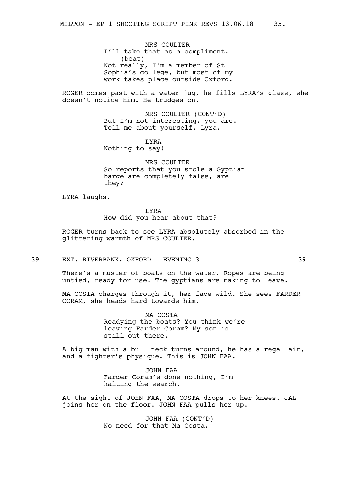MRS COULTER I'll take that as a compliment. (beat) Not really, I'm a member of St Sophia's college, but most of my work takes place outside Oxford.

ROGER comes past with a water jug, he fills LYRA's glass, she doesn't notice him. He trudges on.

> MRS COULTER (CONT'D) But I'm not interesting, you are. Tell me about yourself, Lyra.

LYRA Nothing to say!

MRS COULTER So reports that you stole a Gyptian barge are completely false, are they?

LYRA laughs.

LYRA

How did you hear about that?

ROGER turns back to see LYRA absolutely absorbed in the glittering warmth of MRS COULTER.

39 EXT. RIVERBANK. OXFORD - EVENING 3 39

There's a muster of boats on the water. Ropes are being untied, ready for use. The gyptians are making to leave.

MA COSTA charges through it, her face wild. She sees FARDER CORAM, she heads hard towards him.

> MA COSTA Readying the boats? You think we're leaving Farder Coram? My son is still out there.

A big man with a bull neck turns around, he has a regal air, and a fighter's physique. This is JOHN FAA.

> JOHN FAA Farder Coram's done nothing, I'm halting the search.

At the sight of JOHN FAA, MA COSTA drops to her knees. JAL joins her on the floor. JOHN FAA pulls her up.

> JOHN FAA (CONT'D) No need for that Ma Costa.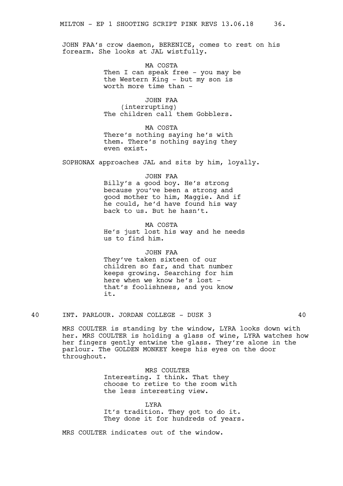JOHN FAA's crow daemon, BERENICE, comes to rest on his forearm. She looks at JAL wistfully.

> MA COSTA Then I can speak free - you may be the Western King - but my son is worth more time than -

JOHN FAA (interrupting) The children call them Gobblers.

MA COSTA There's nothing saying he's with them. There's nothing saying they even exist.

SOPHONAX approaches JAL and sits by him, loyally.

JOHN FAA Billy's a good boy. He's strong because you've been a strong and good mother to him, Maggie. And if he could, he'd have found his way back to us. But he hasn't.

MA COSTA He's just lost his way and he needs us to find him.

# JOHN FAA

They've taken sixteen of our children so far, and that number keeps growing. Searching for him here when we know he's lost that's foolishness, and you know it.

40 INT. PARLOUR. JORDAN COLLEGE - DUSK 3 40

MRS COULTER is standing by the window, LYRA looks down with her. MRS COULTER is holding a glass of wine, LYRA watches how her fingers gently entwine the glass. They're alone in the parlour. The GOLDEN MONKEY keeps his eyes on the door throughout.

> MRS COULTER Interesting. I think. That they choose to retire to the room with the less interesting view.

**T.YRA** It's tradition. They got to do it. They done it for hundreds of years.

MRS COULTER indicates out of the window.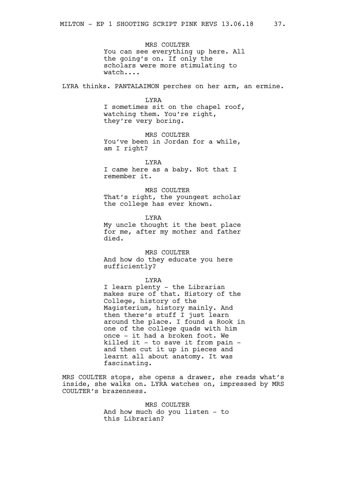MRS COULTER You can see everything up here. All the going's on. If only the scholars were more stimulating to watch....

LYRA thinks. PANTALAIMON perches on her arm, an ermine.

LYRA

I sometimes sit on the chapel roof, watching them. You're right, they're very boring.

MRS COULTER You've been in Jordan for a while, am I right?

LYRA

I came here as a baby. Not that I remember it.

MRS COULTER That's right, the youngest scholar the college has ever known.

LYRA My uncle thought it the best place for me, after my mother and father died.

MRS COULTER And how do they educate you here sufficiently?

LYRA

I learn plenty - the Librarian makes sure of that. History of the College, history of the Magisterium, history mainly. And then there's stuff I just learn around the place. I found a Rook in one of the college quads with him once - it had a broken foot. We killed it - to save it from pain and then cut it up in pieces and learnt all about anatomy. It was fascinating.

MRS COULTER stops, she opens a drawer, she reads what's inside, she walks on. LYRA watches on, impressed by MRS COULTER's brazenness.

> MRS COULTER And how much do you listen - to this Librarian?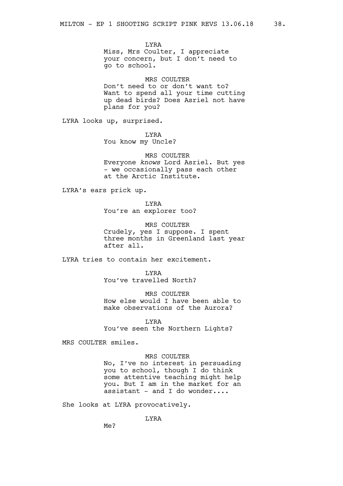LYRA Miss, Mrs Coulter, I appreciate your concern, but I don't need to go to school.

MRS COULTER Don't need to or don't want to? Want to spend all your time cutting up dead birds? Does Asriel not have plans for you?

LYRA looks up, surprised.

LYRA You know my Uncle?

MRS COULTER Everyone *knows* Lord Asriel. But yes - we occasionally pass each other at the Arctic Institute.

LYRA's ears prick up.

LYRA You're an explorer too?

MRS COULTER Crudely, yes I suppose. I spent three months in Greenland last year after all.

LYRA tries to contain her excitement.

LYRA You've travelled North?

MRS COULTER How else would I have been able to make observations of the Aurora?

LYRA You've seen the Northern Lights?

MRS COULTER smiles.

MRS COULTER

No, I've no interest in persuading you to school, though I do think some attentive teaching might help you. But I am in the market for an assistant - and I do wonder....

She looks at LYRA provocatively.

LYRA

Me?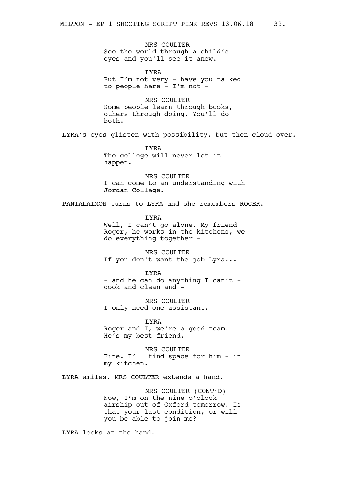MRS COULTER See the world through a child's eyes and you'll see it anew.

LYRA But I'm not very - have you talked to people here - I'm not -

MRS COULTER Some people learn through books, others through doing. You'll do both.

LYRA's eyes glisten with possibility, but then cloud over.

LYRA The college will never let it happen.

MRS COULTER I can come to an understanding with Jordan College.

PANTALAIMON turns to LYRA and she remembers ROGER.

LYRA Well, I can't go alone. My friend Roger, he works in the kitchens, we do everything together -

MRS COULTER If you don't want the job Lyra...

LYRA - and he can do anything I can't cook and clean and -

MRS COULTER I only need one assistant.

LYRA Roger and I, we're a good team. He's my best friend.

MRS COULTER Fine. I'll find space for him - in my kitchen.

LYRA smiles. MRS COULTER extends a hand.

MRS COULTER (CONT'D) Now, I'm on the nine o'clock airship out of Oxford tomorrow. Is that your last condition, or will you be able to join me?

LYRA looks at the hand.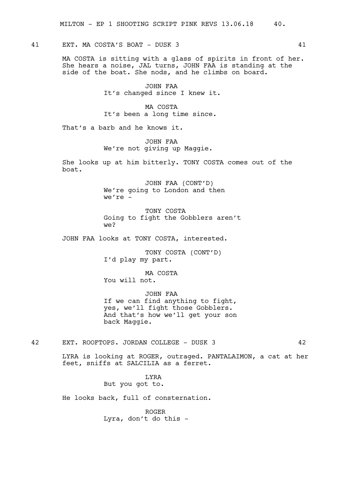41 EXT. MA COSTA'S BOAT - DUSK 3 41

MA COSTA is sitting with a glass of spirits in front of her. She hears a noise, JAL turns, JOHN FAA is standing at the side of the boat. She nods, and he climbs on board.

> JOHN FAA It's changed since I knew it.

MA COSTA It's been a long time since.

That's a barb and he knows it.

JOHN FAA We're not giving up Maggie.

She looks up at him bitterly. TONY COSTA comes out of the boat.

> JOHN FAA (CONT'D) We're going to London and then we're -

TONY COSTA Going to fight the Gobblers aren't we?

JOHN FAA looks at TONY COSTA, interested.

TONY COSTA (CONT'D) I'd play my part.

MA COSTA You will not.

JOHN FAA If we can find anything to fight, yes, we'll fight those Gobblers. And that's how we'll get your son back Maggie.

42 EXT. ROOFTOPS. JORDAN COLLEGE - DUSK 3 42

LYRA is looking at ROGER, outraged. PANTALAIMON, a cat at her feet, sniffs at SALCILIA as a ferret.

> LYRA But you got to.

He looks back, full of consternation.

ROGER Lyra, don't do this -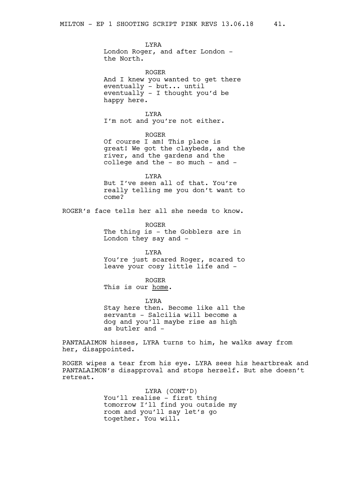LYRA London Roger, and after London the North.

ROGER And I knew you wanted to get there eventually - but... until eventually - I thought you'd be happy here.

LYRA I'm not and you're not either.

ROGER Of course I am! This place is great! We got the claybeds, and the river, and the gardens and the college and the - so much - and -

LYRA But I've seen all of that. You're really telling me you don't want to come?

ROGER's face tells her all she needs to know.

ROGER The thing is - the Gobblers are in London they say and -

LYRA

You're just scared Roger, scared to leave your cosy little life and -

ROGER

This is our home.

LYRA Stay here then. Become like all the servants - Salcilia will become a dog and you'll maybe rise as high as butler and -

PANTALAIMON hisses, LYRA turns to him, he walks away from her, disappointed.

ROGER wipes a tear from his eye. LYRA sees his heartbreak and PANTALAIMON's disapproval and stops herself. But she doesn't retreat.

> LYRA (CONT'D) You'll realise - first thing tomorrow I'll find you outside my room and you'll say let's go together. You will.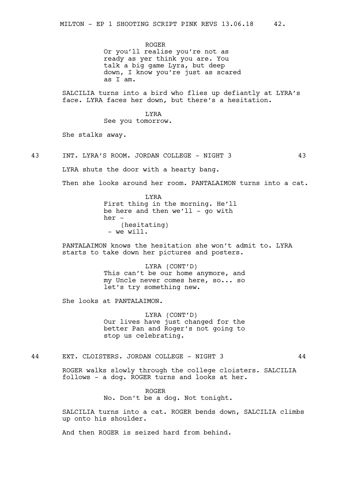ROGER Or you'll realise you're not as ready as yer think you are. You talk a big game Lyra, but deep down, I know you're just as scared as I am.

SALCILIA turns into a bird who flies up defiantly at LYRA's face. LYRA faces her down, but there's a hesitation.

> LYRA See you tomorrow.

She stalks away.

43 INT. LYRA'S ROOM. JORDAN COLLEGE - NIGHT 3 43

LYRA shuts the door with a hearty bang.

Then she looks around her room. PANTALAIMON turns into a cat.

LYRA First thing in the morning. He'll be here and then  $we'll - qo with$ her - (hesitating) - we will.

PANTALAIMON knows the hesitation she won't admit to. LYRA starts to take down her pictures and posters.

> LYRA (CONT'D) This can't be our home anymore, and my Uncle never comes here, so... so let's try something new.

She looks at PANTALAIMON.

LYRA (CONT'D) Our lives have just changed for the better Pan and Roger's not going to stop us celebrating.

44 EXT. CLOISTERS. JORDAN COLLEGE - NIGHT 3 44

ROGER walks slowly through the college cloisters. SALCILIA follows - a dog. ROGER turns and looks at her.

> ROGER No. Don't be a dog. Not tonight.

SALCILIA turns into a cat. ROGER bends down, SALCILIA climbs up onto his shoulder.

And then ROGER is seized hard from behind.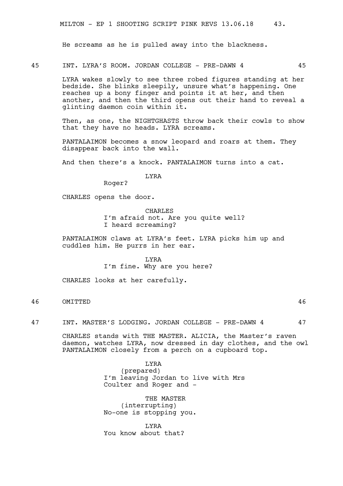He screams as he is pulled away into the blackness.

45 INT. LYRA'S ROOM. JORDAN COLLEGE - PRE-DAWN 4 45

LYRA wakes slowly to see three robed figures standing at her bedside. She blinks sleepily, unsure what's happening. One reaches up a bony finger and points it at her, and then another, and then the third opens out their hand to reveal a glinting daemon coin within it.

Then, as one, the NIGHTGHASTS throw back their cowls to show that they have no heads. LYRA screams.

PANTALAIMON becomes a snow leopard and roars at them. They disappear back into the wall.

And then there's a knock. PANTALAIMON turns into a cat.

LYRA

Roger?

CHARLES opens the door.

CHARLES I'm afraid not. Are you quite well? I heard screaming?

PANTALAIMON claws at LYRA's feet. LYRA picks him up and cuddles him. He purrs in her ear.

> LYRA I'm fine. Why are you here?

CHARLES looks at her carefully.

# 46 OMITTED 46

47 INT. MASTER'S LODGING. JORDAN COLLEGE - PRE-DAWN 4 47

CHARLES stands with THE MASTER. ALICIA, the Master's raven daemon, watches LYRA, now dressed in day clothes, and the owl PANTALAIMON closely from a perch on a cupboard top.

> LYRA (prepared) I'm leaving Jordan to live with Mrs Coulter and Roger and -

THE MASTER (interrupting) No-one is stopping you.

LYRA You know about that?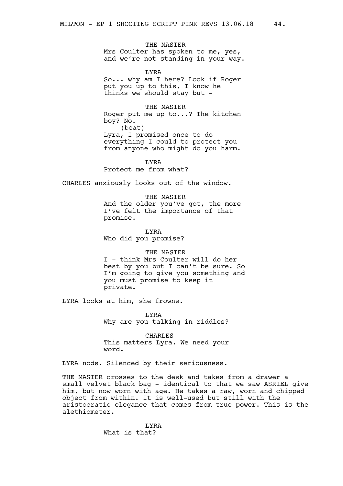THE MASTER Mrs Coulter has spoken to me, yes, and we're not standing in your way.

LYRA So... why am I here? Look if Roger put you up to this, I know he thinks we should stay but -

THE MASTER

Roger put me up to...? The kitchen boy? No. (beat) Lyra, I promised once to do everything I could to protect you from anyone who might do you harm.

LYRA

Protect me from what?

CHARLES anxiously looks out of the window.

THE MASTER And the older you've got, the more I've felt the importance of that promise.

LYRA Who did you promise?

THE MASTER I - think Mrs Coulter will do her best by you but I can't be sure. So I'm going to give you something and you must promise to keep it private.

LYRA looks at him, she frowns.

LYRA Why are you talking in riddles?

CHARLES This matters Lyra. We need your word.

LYRA nods. Silenced by their seriousness.

THE MASTER crosses to the desk and takes from a drawer a small velvet black bag - identical to that we saw ASRIEL give him, but now worn with age. He takes a raw, worn and chipped object from within. It is well-used but still with the aristocratic elegance that comes from true power. This is the alethiometer.

> LYRA What is that?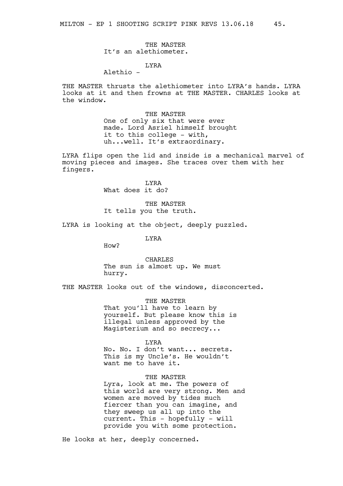THE MASTER It's an alethiometer.

# LYRA

# Alethio -

THE MASTER thrusts the alethiometer into LYRA's hands. LYRA looks at it and then frowns at THE MASTER. CHARLES looks at the window.

> THE MASTER One of only six that were ever made. Lord Asriel himself brought it to this college - with, uh...well. It's extraordinary.

LYRA flips open the lid and inside is a mechanical marvel of moving pieces and images. She traces over them with her fingers.

> LYRA What does it do?

THE MASTER It tells you the truth.

LYRA is looking at the object, deeply puzzled.

LYRA

How?

CHARLES The sun is almost up. We must hurry.

THE MASTER looks out of the windows, disconcerted.

THE MASTER That you'll have to learn by yourself. But please know this is illegal unless approved by the Magisterium and so secrecy...

LYRA

No. No. I don't want... secrets. This is my Uncle's. He wouldn't want me to have it.

THE MASTER

Lyra, look at me. The powers of this world are very strong. Men and women are moved by tides much fiercer than you can imagine, and they sweep us all up into the current. This - hopefully - will provide you with some protection.

He looks at her, deeply concerned.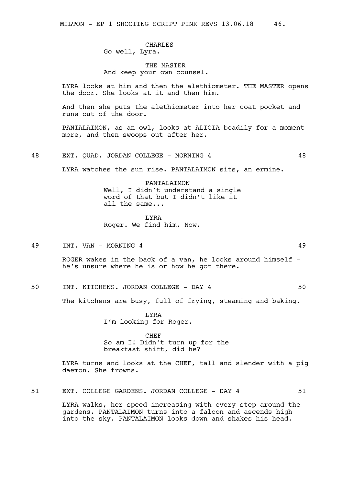# CHARLES Go well, Lyra.

# THE MASTER And keep your own counsel.

LYRA looks at him and then the alethiometer. THE MASTER opens the door. She looks at it and then him.

And then she puts the alethiometer into her coat pocket and runs out of the door.

PANTALAIMON, as an owl, looks at ALICIA beadily for a moment more, and then swoops out after her.

48 EXT. QUAD. JORDAN COLLEGE - MORNING 4 48

LYRA watches the sun rise. PANTALAIMON sits, an ermine.

PANTALAIMON Well, I didn't understand a single word of that but I didn't like it all the same...

LYRA Roger. We find him. Now.

49 INT. VAN – MORNING 4 49 2022 12:20 12:20 12:20 12:20 12:20 12:20 12:20 12:20 12:20 12:20 12:20 12:20 12:20 12:20 12:20 12:20 12:20 12:20 12:20 12:20 12:20 12:20 12:20 12:20 12:20 12:20 12:20 12:20 12:20 12:20 12:20 12:2

ROGER wakes in the back of a van, he looks around himself  $$ he's unsure where he is or how he got there.

50 INT. KITCHENS. JORDAN COLLEGE - DAY 4 50

The kitchens are busy, full of frying, steaming and baking.

LYRA I'm looking for Roger.

# CHEF So am I! Didn't turn up for the breakfast shift, did he?

LYRA turns and looks at the CHEF, tall and slender with a pig daemon. She frowns.

51 EXT. COLLEGE GARDENS. JORDAN COLLEGE - DAY 4 51

LYRA walks, her speed increasing with every step around the gardens. PANTALAIMON turns into a falcon and ascends high into the sky. PANTALAIMON looks down and shakes his head.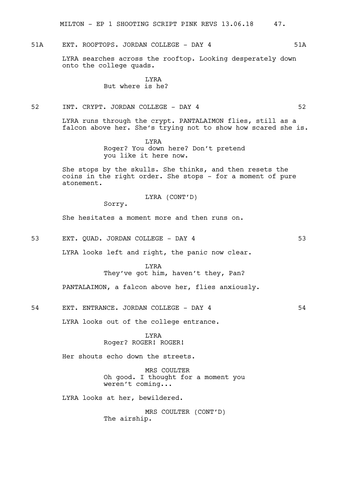MILTON - EP 1 SHOOTING SCRIPT PINK REVS 13.06.18 47.

51A EXT. ROOFTOPS. JORDAN COLLEGE - DAY 4 51A

LYRA searches across the rooftop. Looking desperately down onto the college quads.

> LYRA But where is he?

52 INT. CRYPT. JORDAN COLLEGE - DAY 4 52

LYRA runs through the crypt. PANTALAIMON flies, still as a falcon above her. She's trying not to show how scared she is.

> LYRA Roger? You down here? Don't pretend you like it here now.

She stops by the skulls. She thinks, and then resets the coins in the right order. She stops - for a moment of pure atonement.

LYRA (CONT'D)

Sorry.

She hesitates a moment more and then runs on.

53 EXT. QUAD. JORDAN COLLEGE - DAY 4 53

LYRA looks left and right, the panic now clear.

LYRA They've got him, haven't they, Pan?

PANTALAIMON, a falcon above her, flies anxiously.

54 EXT. ENTRANCE. JORDAN COLLEGE - DAY 4 54

LYRA looks out of the college entrance.

LYRA Roger? ROGER! ROGER!

Her shouts echo down the streets.

MRS COULTER Oh good. I thought for a moment you weren't coming...

LYRA looks at her, bewildered.

MRS COULTER (CONT'D) The airship.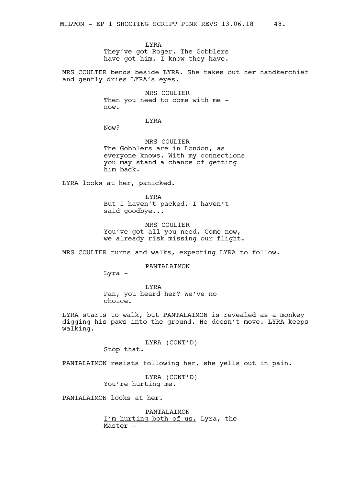LYRA They've got Roger. The Gobblers have got him. I know they have.

MRS COULTER bends beside LYRA. She takes out her handkerchief and gently dries LYRA's eyes.

> MRS COULTER Then you need to come with me now.

> > LYRA

Now?

MRS COULTER The Gobblers are in London, as everyone knows. With my connections you may stand a chance of getting him back.

LYRA looks at her, panicked.

LYRA But I haven't packed, I haven't said goodbye...

MRS COULTER You've got all you need. Come now, we already risk missing our flight.

MRS COULTER turns and walks, expecting LYRA to follow.

PANTALAIMON

Lyra -

LYRA Pan, you heard her? We've no choice.

LYRA starts to walk, but PANTALAIMON is revealed as a monkey digging his paws into the ground. He doesn't move. LYRA keeps walking.

> LYRA (CONT'D) Stop that.

PANTALAIMON resists following her, she yells out in pain.

LYRA (CONT'D) You're hurting me.

PANTALAIMON looks at her.

PANTALAIMON I'm hurting both of us. Lyra, the Master -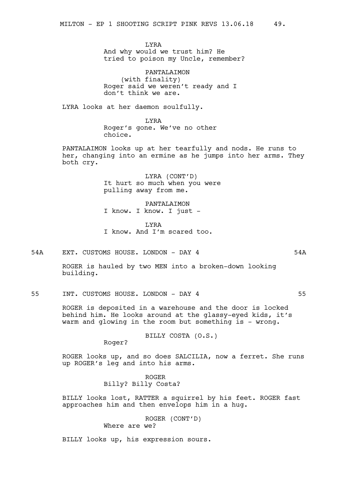LYRA And why would we trust him? He tried to poison my Uncle, remember?

PANTALAIMON (with finality) Roger said we weren't ready and I don't think we are.

LYRA looks at her daemon soulfully.

LYRA Roger's gone. We've no other choice.

PANTALAIMON looks up at her tearfully and nods. He runs to her, changing into an ermine as he jumps into her arms. They both cry.

> LYRA (CONT'D) It hurt so much when you were pulling away from me.

PANTALAIMON I know. I know. I just -

LYRA I know. And I'm scared too.

54A EXT. CUSTOMS HOUSE. LONDON - DAY 4 54A

ROGER is hauled by two MEN into a broken-down looking building.

55 INT. CUSTOMS HOUSE. LONDON - DAY 4 55

ROGER is deposited in a warehouse and the door is locked behind him. He looks around at the glassy-eyed kids, it's warm and glowing in the room but something is - wrong.

BILLY COSTA (O.S.)

Roger?

ROGER looks up, and so does SALCILIA, now a ferret. She runs up ROGER's leg and into his arms.

> ROGER Billy? Billy Costa?

BILLY looks lost, RATTER a squirrel by his feet. ROGER fast approaches him and then envelops him in a hug.

> ROGER (CONT'D) Where are we?

BILLY looks up, his expression sours.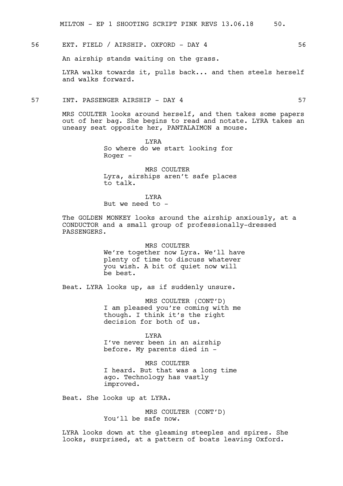MILTON - EP 1 SHOOTING SCRIPT PINK REVS 13.06.18 50.

# 56 EXT. FIELD / AIRSHIP. OXFORD - DAY 4 56

An airship stands waiting on the grass.

LYRA walks towards it, pulls back... and then steels herself and walks forward.

# 57 INT. PASSENGER AIRSHIP - DAY 4 57

MRS COULTER looks around herself, and then takes some papers out of her bag. She begins to read and notate. LYRA takes an uneasy seat opposite her, PANTALAIMON a mouse.

> LYRA So where do we start looking for Roger -

MRS COULTER Lyra, airships aren't safe places to talk.

LYRA

But we need to -

The GOLDEN MONKEY looks around the airship anxiously, at a CONDUCTOR and a small group of professionally-dressed PASSENGERS.

> MRS COULTER We're together now Lyra. We'll have plenty of time to discuss whatever you wish. A bit of quiet now will be best.

Beat. LYRA looks up, as if suddenly unsure.

MRS COULTER (CONT'D) I am pleased you're coming with me though. I think it's the right decision for both of us.

LYRA

I've never been in an airship before. My parents died in -

MRS COULTER I heard. But that was a long time ago. Technology has vastly improved.

Beat. She looks up at LYRA.

MRS COULTER (CONT'D) You'll be safe now.

LYRA looks down at the gleaming steeples and spires. She looks, surprised, at a pattern of boats leaving Oxford.